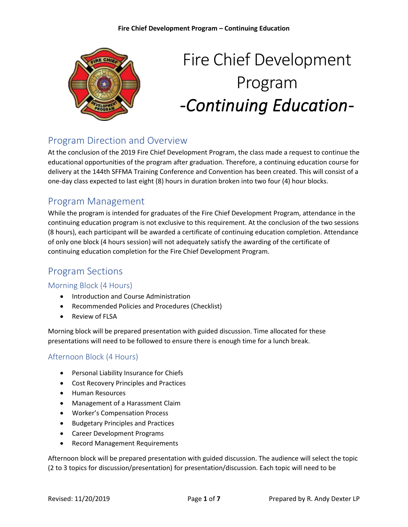

# Fire Chief Development Program *-Continuing Education-*

# Program Direction and Overview

At the conclusion of the 2019 Fire Chief Development Program, the class made a request to continue the educational opportunities of the program after graduation. Therefore, a continuing education course for delivery at the 144th SFFMA Training Conference and Convention has been created. This will consist of a one-day class expected to last eight (8) hours in duration broken into two four (4) hour blocks.

## Program Management

While the program is intended for graduates of the Fire Chief Development Program, attendance in the continuing education program is not exclusive to this requirement. At the conclusion of the two sessions (8 hours), each participant will be awarded a certificate of continuing education completion. Attendance of only one block (4 hours session) will not adequately satisfy the awarding of the certificate of continuing education completion for the Fire Chief Development Program.

# Program Sections

## Morning Block (4 Hours)

- Introduction and Course Administration
- Recommended Policies and Procedures (Checklist)
- Review of FLSA

Morning block will be prepared presentation with guided discussion. Time allocated for these presentations will need to be followed to ensure there is enough time for a lunch break.

## Afternoon Block (4 Hours)

- Personal Liability Insurance for Chiefs
- Cost Recovery Principles and Practices
- Human Resources
- Management of a Harassment Claim
- Worker's Compensation Process
- Budgetary Principles and Practices
- Career Development Programs
- Record Management Requirements

Afternoon block will be prepared presentation with guided discussion. The audience will select the topic (2 to 3 topics for discussion/presentation) for presentation/discussion. Each topic will need to be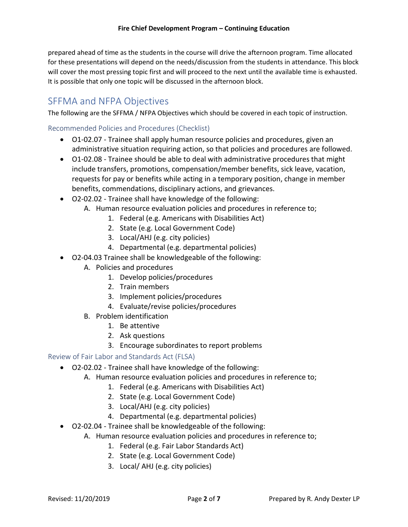prepared ahead of time as the students in the course will drive the afternoon program. Time allocated for these presentations will depend on the needs/discussion from the students in attendance. This block will cover the most pressing topic first and will proceed to the next until the available time is exhausted. It is possible that only one topic will be discussed in the afternoon block.

## SFFMA and NFPA Objectives

The following are the SFFMA / NFPA Objectives which should be covered in each topic of instruction.

## Recommended Policies and Procedures (Checklist)

- O1-02.07 Trainee shall apply human resource policies and procedures, given an administrative situation requiring action, so that policies and procedures are followed.
- O1-02.08 Trainee should be able to deal with administrative procedures that might include transfers, promotions, compensation/member benefits, sick leave, vacation, requests for pay or benefits while acting in a temporary position, change in member benefits, commendations, disciplinary actions, and grievances.
- O2‐02.02 Trainee shall have knowledge of the following:
	- A. Human resource evaluation policies and procedures in reference to;
		- 1. Federal (e.g. Americans with Disabilities Act)
		- 2. State (e.g. Local Government Code)
		- 3. Local/AHJ (e.g. city policies)
		- 4. Departmental (e.g. departmental policies)
- O2‐04.03 Trainee shall be knowledgeable of the following:
	- A. Policies and procedures
		- 1. Develop policies/procedures
		- 2. Train members
		- 3. Implement policies/procedures
		- 4. Evaluate/revise policies/procedures
	- B. Problem identification
		- 1. Be attentive
		- 2. Ask questions
		- 3. Encourage subordinates to report problems

## Review of Fair Labor and Standards Act (FLSA)

- O2‐02.02 Trainee shall have knowledge of the following:
	- A. Human resource evaluation policies and procedures in reference to;
		- 1. Federal (e.g. Americans with Disabilities Act)
		- 2. State (e.g. Local Government Code)
		- 3. Local/AHJ (e.g. city policies)
		- 4. Departmental (e.g. departmental policies)
- O2‐02.04 Trainee shall be knowledgeable of the following:
	- A. Human resource evaluation policies and procedures in reference to;
		- 1. Federal (e.g. Fair Labor Standards Act)
		- 2. State (e.g. Local Government Code)
		- 3. Local/ AHJ (e.g. city policies)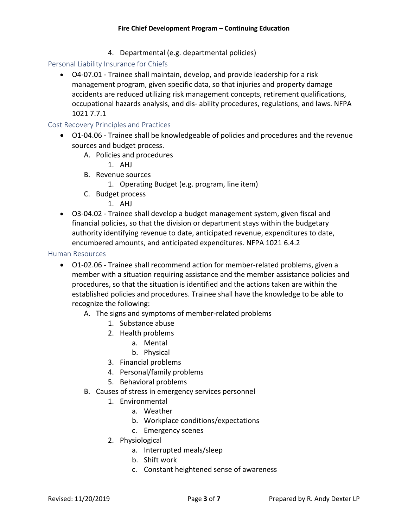4. Departmental (e.g. departmental policies)

Personal Liability Insurance for Chiefs

• O4-07.01 - Trainee shall maintain, develop, and provide leadership for a risk management program, given specific data, so that injuries and property damage accidents are reduced utilizing risk management concepts, retirement qualifications, occupational hazards analysis, and dis‐ ability procedures, regulations, and laws. NFPA 1021 7.7.1

Cost Recovery Principles and Practices

- O1-04.06 Trainee shall be knowledgeable of policies and procedures and the revenue sources and budget process.
	- A. Policies and procedures
		- 1. AHJ
	- B. Revenue sources
		- 1. Operating Budget (e.g. program, line item)
	- C. Budget process
		- 1. AHJ
- O3-04.02 Trainee shall develop a budget management system, given fiscal and financial policies, so that the division or department stays within the budgetary authority identifying revenue to date, anticipated revenue, expenditures to date, encumbered amounts, and anticipated expenditures. NFPA 1021 6.4.2

#### Human Resources

- O1‐02.06 Trainee shall recommend action for member‐related problems, given a member with a situation requiring assistance and the member assistance policies and procedures, so that the situation is identified and the actions taken are within the established policies and procedures. Trainee shall have the knowledge to be able to recognize the following:
	- A. The signs and symptoms of member‐related problems
		- 1. Substance abuse
		- 2. Health problems
			- a. Mental
			- b. Physical
		- 3. Financial problems
		- 4. Personal/family problems
		- 5. Behavioral problems
	- B. Causes of stress in emergency services personnel
		- 1. Environmental
			- a. Weather
			- b. Workplace conditions/expectations
			- c. Emergency scenes
		- 2. Physiological
			- a. Interrupted meals/sleep
			- b. Shift work
			- c. Constant heightened sense of awareness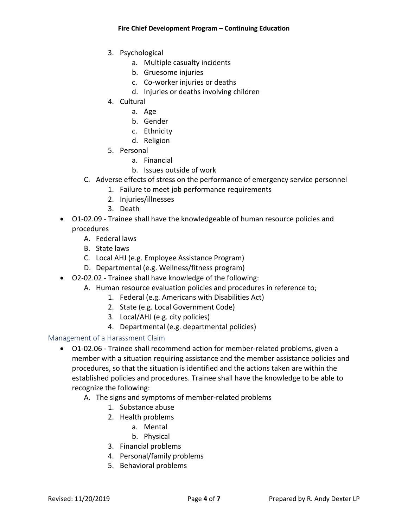- 3. Psychological
	- a. Multiple casualty incidents
	- b. Gruesome injuries
	- c. Co‐worker injuries or deaths
	- d. Injuries or deaths involving children
- 4. Cultural
	- a. Age
	- b. Gender
	- c. Ethnicity
	- d. Religion
- 5. Personal
	- a. Financial
	- b. Issues outside of work
- C. Adverse effects of stress on the performance of emergency service personnel
	- 1. Failure to meet job performance requirements
	- 2. Injuries/illnesses
	- 3. Death
- O1-02.09 Trainee shall have the knowledgeable of human resource policies and procedures
	- A. Federal laws
	- B. State laws
	- C. Local AHJ (e.g. Employee Assistance Program)
	- D. Departmental (e.g. Wellness/fitness program)
- O2‐02.02 Trainee shall have knowledge of the following:
	- A. Human resource evaluation policies and procedures in reference to;
		- 1. Federal (e.g. Americans with Disabilities Act)
		- 2. State (e.g. Local Government Code)
		- 3. Local/AHJ (e.g. city policies)
		- 4. Departmental (e.g. departmental policies)

## Management of a Harassment Claim

- O1‐02.06 Trainee shall recommend action for member‐related problems, given a member with a situation requiring assistance and the member assistance policies and procedures, so that the situation is identified and the actions taken are within the established policies and procedures. Trainee shall have the knowledge to be able to recognize the following:
	- A. The signs and symptoms of member‐related problems
		- 1. Substance abuse
		- 2. Health problems
			- a. Mental
			- b. Physical
		- 3. Financial problems
		- 4. Personal/family problems
		- 5. Behavioral problems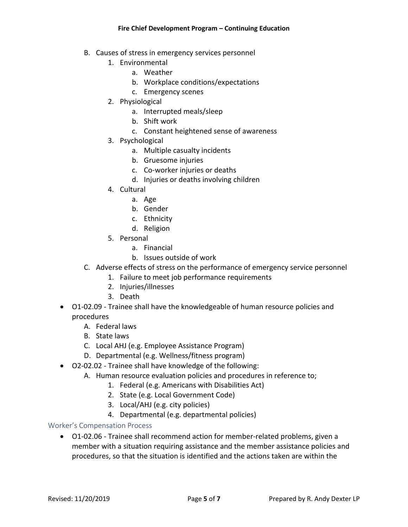- B. Causes of stress in emergency services personnel
	- 1. Environmental
		- a. Weather
		- b. Workplace conditions/expectations
		- c. Emergency scenes
	- 2. Physiological
		- a. Interrupted meals/sleep
		- b. Shift work
		- c. Constant heightened sense of awareness
	- 3. Psychological
		- a. Multiple casualty incidents
		- b. Gruesome injuries
		- c. Co‐worker injuries or deaths
		- d. Injuries or deaths involving children
	- 4. Cultural
		- a. Age
		- b. Gender
		- c. Ethnicity
		- d. Religion
	- 5. Personal
		- a. Financial
		- b. Issues outside of work
- C. Adverse effects of stress on the performance of emergency service personnel
	- 1. Failure to meet job performance requirements
	- 2. Injuries/illnesses
	- 3. Death
- O1-02.09 Trainee shall have the knowledgeable of human resource policies and procedures
	- A. Federal laws
	- B. State laws
	- C. Local AHJ (e.g. Employee Assistance Program)
	- D. Departmental (e.g. Wellness/fitness program)
- O2‐02.02 Trainee shall have knowledge of the following:
	- A. Human resource evaluation policies and procedures in reference to;
		- 1. Federal (e.g. Americans with Disabilities Act)
		- 2. State (e.g. Local Government Code)
		- 3. Local/AHJ (e.g. city policies)
		- 4. Departmental (e.g. departmental policies)

#### Worker's Compensation Process

• O1‐02.06 - Trainee shall recommend action for member‐related problems, given a member with a situation requiring assistance and the member assistance policies and procedures, so that the situation is identified and the actions taken are within the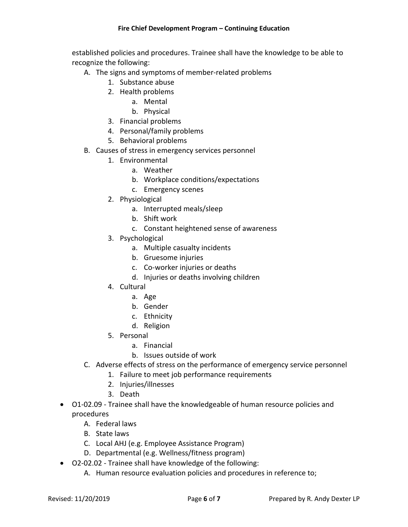established policies and procedures. Trainee shall have the knowledge to be able to recognize the following:

- A. The signs and symptoms of member‐related problems
	- 1. Substance abuse
	- 2. Health problems
		- a. Mental
		- b. Physical
	- 3. Financial problems
	- 4. Personal/family problems
	- 5. Behavioral problems
- B. Causes of stress in emergency services personnel
	- 1. Environmental
		- a. Weather
		- b. Workplace conditions/expectations
		- c. Emergency scenes
	- 2. Physiological
		- a. Interrupted meals/sleep
		- b. Shift work
		- c. Constant heightened sense of awareness
	- 3. Psychological
		- a. Multiple casualty incidents
		- b. Gruesome injuries
		- c. Co‐worker injuries or deaths
		- d. Injuries or deaths involving children
	- 4. Cultural
		- a. Age
		- b. Gender
		- c. Ethnicity
		- d. Religion
	- 5. Personal
		- a. Financial
		- b. Issues outside of work
- C. Adverse effects of stress on the performance of emergency service personnel
	- 1. Failure to meet job performance requirements
	- 2. Injuries/illnesses
	- 3. Death
- O1‐02.09 Trainee shall have the knowledgeable of human resource policies and procedures
	- A. Federal laws
	- B. State laws
	- C. Local AHJ (e.g. Employee Assistance Program)
	- D. Departmental (e.g. Wellness/fitness program)
- O2‐02.02 Trainee shall have knowledge of the following:
	- A. Human resource evaluation policies and procedures in reference to;